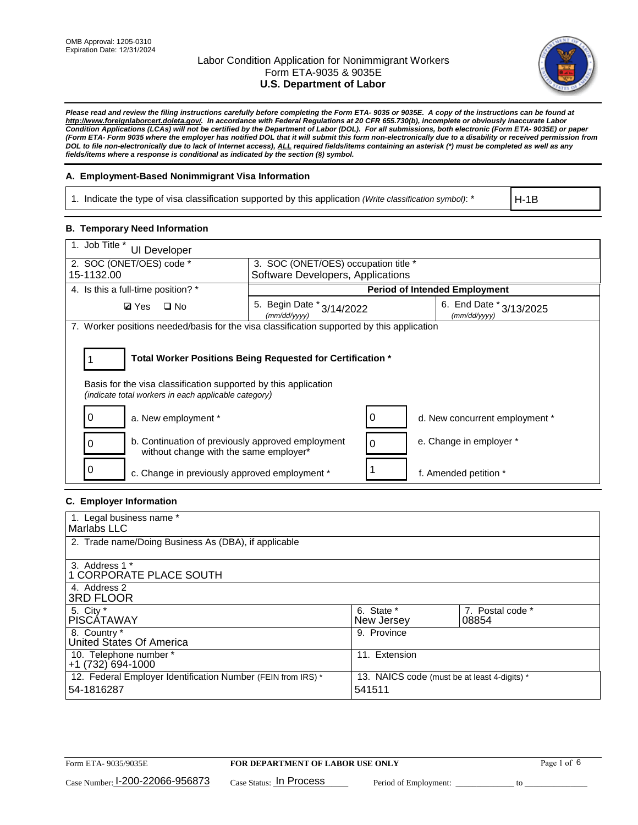

*Please read and review the filing instructions carefully before completing the Form ETA- 9035 or 9035E. A copy of the instructions can be found at http://www.foreignlaborcert.doleta.gov/. In accordance with Federal Regulations at 20 CFR 655.730(b), incomplete or obviously inaccurate Labor Condition Applications (LCAs) will not be certified by the Department of Labor (DOL). For all submissions, both electronic (Form ETA- 9035E) or paper (Form ETA- Form 9035 where the employer has notified DOL that it will submit this form non-electronically due to a disability or received permission from DOL to file non-electronically due to lack of Internet access), ALL required fields/items containing an asterisk (\*) must be completed as well as any fields/items where a response is conditional as indicated by the section (§) symbol.* 

### **A. Employment-Based Nonimmigrant Visa Information**

1. Indicate the type of visa classification supported by this application *(Write classification symbol)*: \*

H-1B

### **B. Temporary Need Information**

| 1. Job Title *<br><b>UI Developer</b>                                                                                                                                                 |                                           |                                             |  |  |  |  |
|---------------------------------------------------------------------------------------------------------------------------------------------------------------------------------------|-------------------------------------------|---------------------------------------------|--|--|--|--|
| 2. SOC (ONET/OES) code *                                                                                                                                                              | 3. SOC (ONET/OES) occupation title *      |                                             |  |  |  |  |
| 15-1132.00                                                                                                                                                                            | Software Developers, Applications         |                                             |  |  |  |  |
| 4. Is this a full-time position? *                                                                                                                                                    |                                           | <b>Period of Intended Employment</b>        |  |  |  |  |
| <b>Ø</b> Yes<br>$\square$ No                                                                                                                                                          | 5. Begin Date * 3/14/2022<br>(mm/dd/yyyy) | 6. End Date $*_{3/13/2025}$<br>(mm/dd/yyyy) |  |  |  |  |
| 7. Worker positions needed/basis for the visa classification supported by this application                                                                                            |                                           |                                             |  |  |  |  |
| Total Worker Positions Being Requested for Certification *<br>Basis for the visa classification supported by this application<br>(indicate total workers in each applicable category) |                                           |                                             |  |  |  |  |
| a. New employment *                                                                                                                                                                   |                                           | d. New concurrent employment *              |  |  |  |  |
| b. Continuation of previously approved employment<br>without change with the same employer*                                                                                           |                                           | e. Change in employer *                     |  |  |  |  |
| c. Change in previously approved employment *                                                                                                                                         |                                           | f. Amended petition *                       |  |  |  |  |

### **C. Employer Information**

| 1. Legal business name *                                     |                                              |                  |
|--------------------------------------------------------------|----------------------------------------------|------------------|
| Marlabs LLC                                                  |                                              |                  |
| 2. Trade name/Doing Business As (DBA), if applicable         |                                              |                  |
|                                                              |                                              |                  |
| 3. Address 1 *                                               |                                              |                  |
| 1 CORPORATE PLACE SOUTH                                      |                                              |                  |
| 4. Address 2                                                 |                                              |                  |
| <b>3RD FLOOR</b>                                             |                                              |                  |
| 5. City *                                                    | 6. State *                                   | 7. Postal code * |
| PISCÁTAWAY                                                   | New Jersey                                   | 08854            |
| 8. Country *                                                 | 9. Province                                  |                  |
| United States Of America                                     |                                              |                  |
| 10. Telephone number *                                       | 11. Extension                                |                  |
| $+1(732)694-1000$                                            |                                              |                  |
| 12. Federal Employer Identification Number (FEIN from IRS) * | 13. NAICS code (must be at least 4-digits) * |                  |
| 54-1816287                                                   | 541511                                       |                  |
|                                                              |                                              |                  |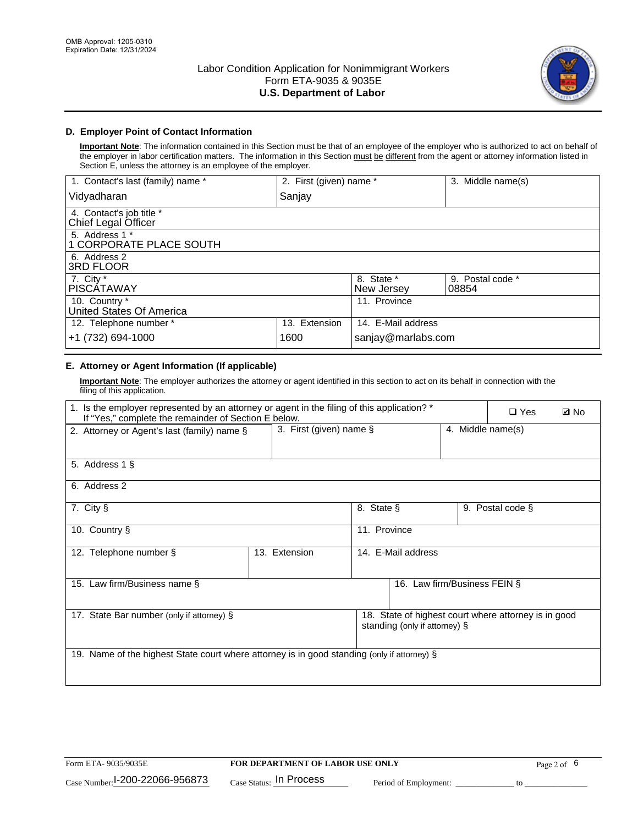

### **D. Employer Point of Contact Information**

**Important Note**: The information contained in this Section must be that of an employee of the employer who is authorized to act on behalf of the employer in labor certification matters. The information in this Section must be different from the agent or attorney information listed in Section E, unless the attorney is an employee of the employer.

| 1. Contact's last (family) name *               | 2. First (given) name * |                          | 3. Middle name(s)         |
|-------------------------------------------------|-------------------------|--------------------------|---------------------------|
| Vidyadharan                                     | Sanjay                  |                          |                           |
| 4. Contact's job title *<br>Chief Legal Officer |                         |                          |                           |
| 5. Address 1 *<br>1 CORPORATE PLACE SOUTH       |                         |                          |                           |
| 6. Address 2<br><b>3RD FLOOR</b>                |                         |                          |                           |
| 7. City *<br><b>PISCÁTAWAY</b>                  |                         | 8. State *<br>New Jersey | 9. Postal code *<br>08854 |
| 10. Country *<br>United States Of America       |                         | 11. Province             |                           |
| 12. Telephone number *                          | 13. Extension           | 14. E-Mail address       |                           |
| +1 (732) 694-1000                               | 1600                    | sanjay@marlabs.com       |                           |

# **E. Attorney or Agent Information (If applicable)**

**Important Note**: The employer authorizes the attorney or agent identified in this section to act on its behalf in connection with the filing of this application.

| 1. Is the employer represented by an attorney or agent in the filing of this application? *<br>If "Yes," complete the remainder of Section E below. |                            |                    |                               |                   | $\Box$ Yes                                           | <b>Ø</b> No |
|-----------------------------------------------------------------------------------------------------------------------------------------------------|----------------------------|--------------------|-------------------------------|-------------------|------------------------------------------------------|-------------|
| 2. Attorney or Agent's last (family) name §                                                                                                         | 3. First (given) name $\S$ |                    |                               | 4. Middle name(s) |                                                      |             |
| 5. Address 1 §                                                                                                                                      |                            |                    |                               |                   |                                                      |             |
| 6. Address 2                                                                                                                                        |                            |                    |                               |                   |                                                      |             |
| 7. City §                                                                                                                                           |                            | 8. State §         |                               |                   | 9. Postal code §                                     |             |
| 10. Country §                                                                                                                                       |                            | 11. Province       |                               |                   |                                                      |             |
| 12. Telephone number §                                                                                                                              | 13. Extension              | 14. E-Mail address |                               |                   |                                                      |             |
| 15. Law firm/Business name §                                                                                                                        |                            |                    | 16. Law firm/Business FEIN §  |                   |                                                      |             |
| 17. State Bar number (only if attorney) §                                                                                                           |                            |                    | standing (only if attorney) § |                   | 18. State of highest court where attorney is in good |             |
| 19. Name of the highest State court where attorney is in good standing (only if attorney) §                                                         |                            |                    |                               |                   |                                                      |             |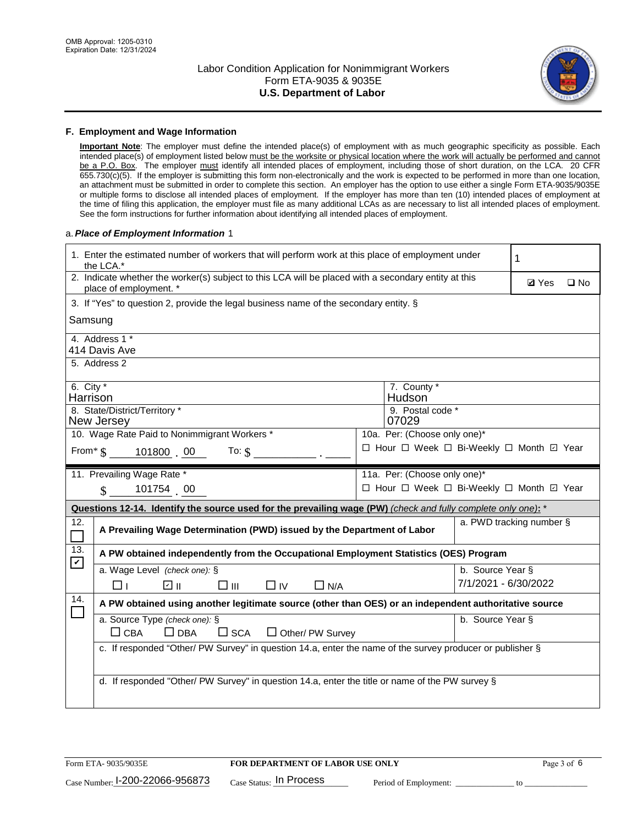

#### **F. Employment and Wage Information**

**Important Note**: The employer must define the intended place(s) of employment with as much geographic specificity as possible. Each intended place(s) of employment listed below must be the worksite or physical location where the work will actually be performed and cannot be a P.O. Box. The employer must identify all intended places of employment, including those of short duration, on the LCA. 20 CFR 655.730(c)(5). If the employer is submitting this form non-electronically and the work is expected to be performed in more than one location, an attachment must be submitted in order to complete this section. An employer has the option to use either a single Form ETA-9035/9035E or multiple forms to disclose all intended places of employment. If the employer has more than ten (10) intended places of employment at the time of filing this application, the employer must file as many additional LCAs as are necessary to list all intended places of employment. See the form instructions for further information about identifying all intended places of employment.

#### a.*Place of Employment Information* 1

| 1. Enter the estimated number of workers that will perform work at this place of employment under<br>the LCA.*                       | 1                                                                                     |                          |  |  |  |  |  |
|--------------------------------------------------------------------------------------------------------------------------------------|---------------------------------------------------------------------------------------|--------------------------|--|--|--|--|--|
| 2. Indicate whether the worker(s) subject to this LCA will be placed with a secondary entity at this<br>place of employment. *       | <b>Ø</b> Yes<br>$\square$ No                                                          |                          |  |  |  |  |  |
|                                                                                                                                      | 3. If "Yes" to question 2, provide the legal business name of the secondary entity. § |                          |  |  |  |  |  |
| Samsung                                                                                                                              |                                                                                       |                          |  |  |  |  |  |
| 4. Address 1 *<br>414 Davis Ave                                                                                                      |                                                                                       |                          |  |  |  |  |  |
| 5. Address 2                                                                                                                         |                                                                                       |                          |  |  |  |  |  |
| 6. City $*$<br>Harrison                                                                                                              | 7. County *<br>Hudson <sup>®</sup>                                                    |                          |  |  |  |  |  |
| 8. State/District/Territory *<br>New Jersey                                                                                          | 9. Postal code *<br>07029                                                             |                          |  |  |  |  |  |
| 10. Wage Rate Paid to Nonimmigrant Workers *                                                                                         | 10a. Per: (Choose only one)*                                                          |                          |  |  |  |  |  |
| From* \$101800 00<br>To: $\mathsf{S}$ $\overline{\phantom{a}}$                                                                       | □ Hour □ Week □ Bi-Weekly □ Month ☑ Year                                              |                          |  |  |  |  |  |
| 11. Prevailing Wage Rate *                                                                                                           | 11a. Per: (Choose only one)*                                                          |                          |  |  |  |  |  |
| 101754 00<br>$\mathbf{\$}$                                                                                                           | □ Hour □ Week □ Bi-Weekly □ Month ☑ Year                                              |                          |  |  |  |  |  |
| Questions 12-14. Identify the source used for the prevailing wage (PW) (check and fully complete only one): *                        |                                                                                       |                          |  |  |  |  |  |
| 12.<br>A Prevailing Wage Determination (PWD) issued by the Department of Labor                                                       |                                                                                       | a. PWD tracking number § |  |  |  |  |  |
| 13.<br>A PW obtained independently from the Occupational Employment Statistics (OES) Program<br>$\blacktriangledown$                 |                                                                                       |                          |  |  |  |  |  |
| a. Wage Level (check one): §                                                                                                         |                                                                                       | b. Source Year §         |  |  |  |  |  |
| ☑ ⊪<br>□⊪<br>$\Box$ IV<br>$\Box$ N/A<br>⊓⊥                                                                                           |                                                                                       | 7/1/2021 - 6/30/2022     |  |  |  |  |  |
| 14.<br>A PW obtained using another legitimate source (other than OES) or an independent authoritative source                         |                                                                                       |                          |  |  |  |  |  |
| a. Source Type (check one): §<br>$\Box$ CBA<br>$\Box$ DBA<br>$\square$ SCA                                                           |                                                                                       | b. Source Year §         |  |  |  |  |  |
| $\Box$ Other/ PW Survey<br>c. If responded "Other/ PW Survey" in question 14.a, enter the name of the survey producer or publisher § |                                                                                       |                          |  |  |  |  |  |
|                                                                                                                                      |                                                                                       |                          |  |  |  |  |  |
|                                                                                                                                      |                                                                                       |                          |  |  |  |  |  |
| d. If responded "Other/ PW Survey" in question 14.a, enter the title or name of the PW survey §                                      |                                                                                       |                          |  |  |  |  |  |
|                                                                                                                                      |                                                                                       |                          |  |  |  |  |  |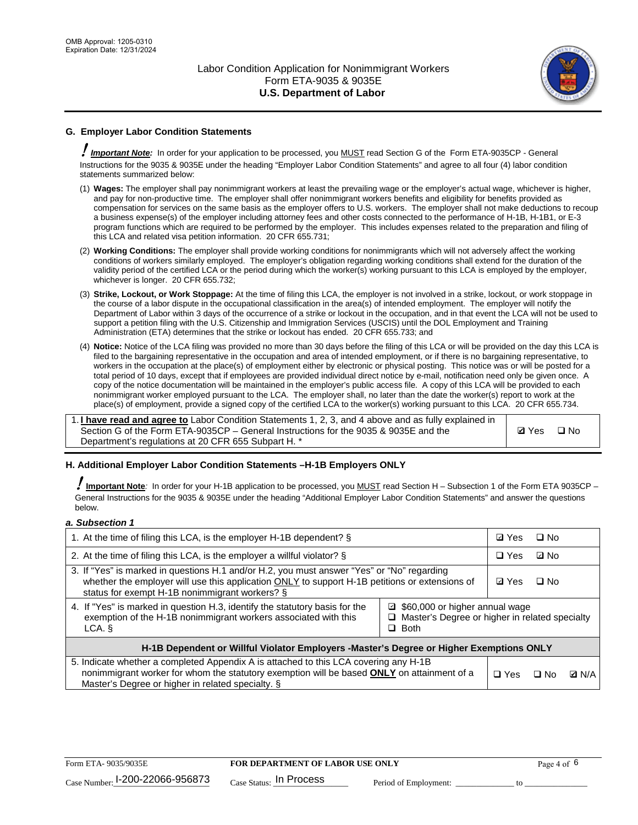

# **G. Employer Labor Condition Statements**

! *Important Note:* In order for your application to be processed, you MUST read Section G of the Form ETA-9035CP - General Instructions for the 9035 & 9035E under the heading "Employer Labor Condition Statements" and agree to all four (4) labor condition statements summarized below:

- (1) **Wages:** The employer shall pay nonimmigrant workers at least the prevailing wage or the employer's actual wage, whichever is higher, and pay for non-productive time. The employer shall offer nonimmigrant workers benefits and eligibility for benefits provided as compensation for services on the same basis as the employer offers to U.S. workers. The employer shall not make deductions to recoup a business expense(s) of the employer including attorney fees and other costs connected to the performance of H-1B, H-1B1, or E-3 program functions which are required to be performed by the employer. This includes expenses related to the preparation and filing of this LCA and related visa petition information. 20 CFR 655.731;
- (2) **Working Conditions:** The employer shall provide working conditions for nonimmigrants which will not adversely affect the working conditions of workers similarly employed. The employer's obligation regarding working conditions shall extend for the duration of the validity period of the certified LCA or the period during which the worker(s) working pursuant to this LCA is employed by the employer, whichever is longer. 20 CFR 655.732;
- (3) **Strike, Lockout, or Work Stoppage:** At the time of filing this LCA, the employer is not involved in a strike, lockout, or work stoppage in the course of a labor dispute in the occupational classification in the area(s) of intended employment. The employer will notify the Department of Labor within 3 days of the occurrence of a strike or lockout in the occupation, and in that event the LCA will not be used to support a petition filing with the U.S. Citizenship and Immigration Services (USCIS) until the DOL Employment and Training Administration (ETA) determines that the strike or lockout has ended. 20 CFR 655.733; and
- (4) **Notice:** Notice of the LCA filing was provided no more than 30 days before the filing of this LCA or will be provided on the day this LCA is filed to the bargaining representative in the occupation and area of intended employment, or if there is no bargaining representative, to workers in the occupation at the place(s) of employment either by electronic or physical posting. This notice was or will be posted for a total period of 10 days, except that if employees are provided individual direct notice by e-mail, notification need only be given once. A copy of the notice documentation will be maintained in the employer's public access file. A copy of this LCA will be provided to each nonimmigrant worker employed pursuant to the LCA. The employer shall, no later than the date the worker(s) report to work at the place(s) of employment, provide a signed copy of the certified LCA to the worker(s) working pursuant to this LCA. 20 CFR 655.734.

1. **I have read and agree to** Labor Condition Statements 1, 2, 3, and 4 above and as fully explained in Section G of the Form ETA-9035CP – General Instructions for the 9035 & 9035E and the Department's regulations at 20 CFR 655 Subpart H. \*

**Ø**Yes ロNo

### **H. Additional Employer Labor Condition Statements –H-1B Employers ONLY**

!**Important Note***:* In order for your H-1B application to be processed, you MUST read Section H – Subsection 1 of the Form ETA 9035CP – General Instructions for the 9035 & 9035E under the heading "Additional Employer Labor Condition Statements" and answer the questions below.

#### *a. Subsection 1*

| 1. At the time of filing this LCA, is the employer H-1B dependent? §                                                                                                                                                                                            |  | ⊡ Yes      | □ No      |              |
|-----------------------------------------------------------------------------------------------------------------------------------------------------------------------------------------------------------------------------------------------------------------|--|------------|-----------|--------------|
| 2. At the time of filing this LCA, is the employer a willful violator? $\S$                                                                                                                                                                                     |  | $\Box$ Yes | ⊡ No      |              |
| 3. If "Yes" is marked in questions H.1 and/or H.2, you must answer "Yes" or "No" regarding<br>whether the employer will use this application ONLY to support H-1B petitions or extensions of<br>status for exempt H-1B nonimmigrant workers? §                  |  |            | $\Box$ No |              |
| 4. If "Yes" is marked in question H.3, identify the statutory basis for the<br>■ \$60,000 or higher annual wage<br>exemption of the H-1B nonimmigrant workers associated with this<br>□ Master's Degree or higher in related specialty<br>$\Box$ Both<br>LCA. § |  |            |           |              |
| H-1B Dependent or Willful Violator Employers -Master's Degree or Higher Exemptions ONLY                                                                                                                                                                         |  |            |           |              |
| 5. Indicate whether a completed Appendix A is attached to this LCA covering any H-1B<br>nonimmigrant worker for whom the statutory exemption will be based <b>ONLY</b> on attainment of a<br>Master's Degree or higher in related specialty. §                  |  |            | ⊡ No      | <b>D</b> N/A |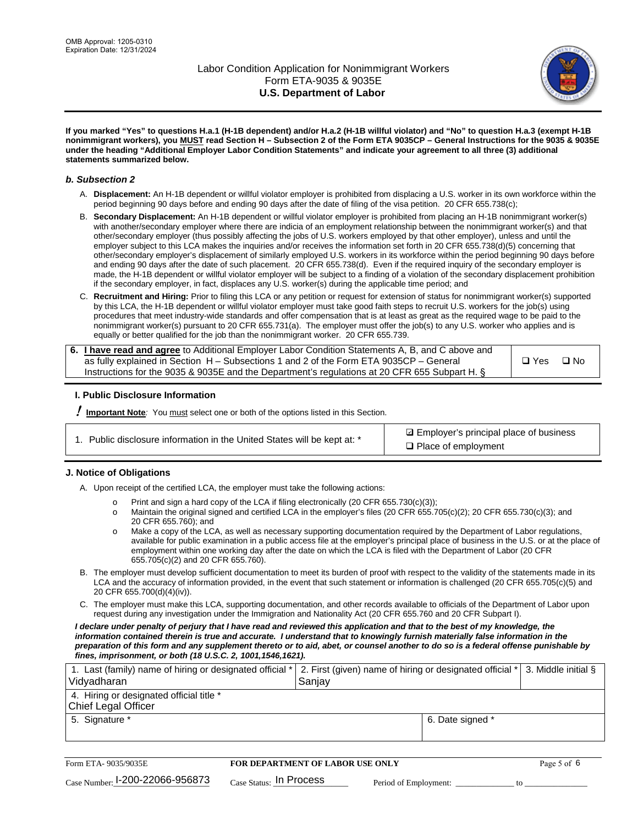

**If you marked "Yes" to questions H.a.1 (H-1B dependent) and/or H.a.2 (H-1B willful violator) and "No" to question H.a.3 (exempt H-1B nonimmigrant workers), you MUST read Section H – Subsection 2 of the Form ETA 9035CP – General Instructions for the 9035 & 9035E under the heading "Additional Employer Labor Condition Statements" and indicate your agreement to all three (3) additional statements summarized below.**

#### *b. Subsection 2*

- A. **Displacement:** An H-1B dependent or willful violator employer is prohibited from displacing a U.S. worker in its own workforce within the period beginning 90 days before and ending 90 days after the date of filing of the visa petition. 20 CFR 655.738(c);
- B. **Secondary Displacement:** An H-1B dependent or willful violator employer is prohibited from placing an H-1B nonimmigrant worker(s) with another/secondary employer where there are indicia of an employment relationship between the nonimmigrant worker(s) and that other/secondary employer (thus possibly affecting the jobs of U.S. workers employed by that other employer), unless and until the employer subject to this LCA makes the inquiries and/or receives the information set forth in 20 CFR 655.738(d)(5) concerning that other/secondary employer's displacement of similarly employed U.S. workers in its workforce within the period beginning 90 days before and ending 90 days after the date of such placement. 20 CFR 655.738(d). Even if the required inquiry of the secondary employer is made, the H-1B dependent or willful violator employer will be subject to a finding of a violation of the secondary displacement prohibition if the secondary employer, in fact, displaces any U.S. worker(s) during the applicable time period; and
- C. **Recruitment and Hiring:** Prior to filing this LCA or any petition or request for extension of status for nonimmigrant worker(s) supported by this LCA, the H-1B dependent or willful violator employer must take good faith steps to recruit U.S. workers for the job(s) using procedures that meet industry-wide standards and offer compensation that is at least as great as the required wage to be paid to the nonimmigrant worker(s) pursuant to 20 CFR 655.731(a). The employer must offer the job(s) to any U.S. worker who applies and is equally or better qualified for the job than the nonimmigrant worker. 20 CFR 655.739.

| 6. I have read and agree to Additional Employer Labor Condition Statements A, B, and C above and |       |           |
|--------------------------------------------------------------------------------------------------|-------|-----------|
| as fully explained in Section H – Subsections 1 and 2 of the Form ETA 9035CP – General           | □ Yes | $\Box$ No |
| Instructions for the 9035 & 9035E and the Department's regulations at 20 CFR 655 Subpart H. §    |       |           |

### **I. Public Disclosure Information**

! **Important Note***:* You must select one or both of the options listed in this Section.

|  | 1. Public disclosure information in the United States will be kept at: * |  |  |  |
|--|--------------------------------------------------------------------------|--|--|--|
|  |                                                                          |  |  |  |

**sqrt** Employer's principal place of business □ Place of employment

### **J. Notice of Obligations**

A. Upon receipt of the certified LCA, the employer must take the following actions:

- o Print and sign a hard copy of the LCA if filing electronically (20 CFR 655.730(c)(3));<br>
Maintain the original signed and certified LCA in the employer's files (20 CFR 655.7
- Maintain the original signed and certified LCA in the employer's files (20 CFR 655.705(c)(2); 20 CFR 655.730(c)(3); and 20 CFR 655.760); and
- o Make a copy of the LCA, as well as necessary supporting documentation required by the Department of Labor regulations, available for public examination in a public access file at the employer's principal place of business in the U.S. or at the place of employment within one working day after the date on which the LCA is filed with the Department of Labor (20 CFR 655.705(c)(2) and 20 CFR 655.760).
- B. The employer must develop sufficient documentation to meet its burden of proof with respect to the validity of the statements made in its LCA and the accuracy of information provided, in the event that such statement or information is challenged (20 CFR 655.705(c)(5) and 20 CFR 655.700(d)(4)(iv)).
- C. The employer must make this LCA, supporting documentation, and other records available to officials of the Department of Labor upon request during any investigation under the Immigration and Nationality Act (20 CFR 655.760 and 20 CFR Subpart I).

*I declare under penalty of perjury that I have read and reviewed this application and that to the best of my knowledge, the*  information contained therein is true and accurate. I understand that to knowingly furnish materially false information in the *preparation of this form and any supplement thereto or to aid, abet, or counsel another to do so is a federal offense punishable by fines, imprisonment, or both (18 U.S.C. 2, 1001,1546,1621).*

| 1. Last (family) name of hiring or designated official *   2. First (given) name of hiring or designated official *   3. Middle initial §<br>Vidyadharan | Saniav           |  |
|----------------------------------------------------------------------------------------------------------------------------------------------------------|------------------|--|
| 4. Hiring or designated official title *<br>Chief Legal Officer                                                                                          |                  |  |
| 5. Signature *                                                                                                                                           | 6. Date signed * |  |

| Form ETA-9035/9035E                         | <b>FOR DEPARTMENT OF LABOR USE ONLY</b> |                       |  |
|---------------------------------------------|-----------------------------------------|-----------------------|--|
| $_{\text{Case Number:}}$ I-200-22066-956873 | $_{\text{Case Status:}}$ In Process     | Period of Employment: |  |